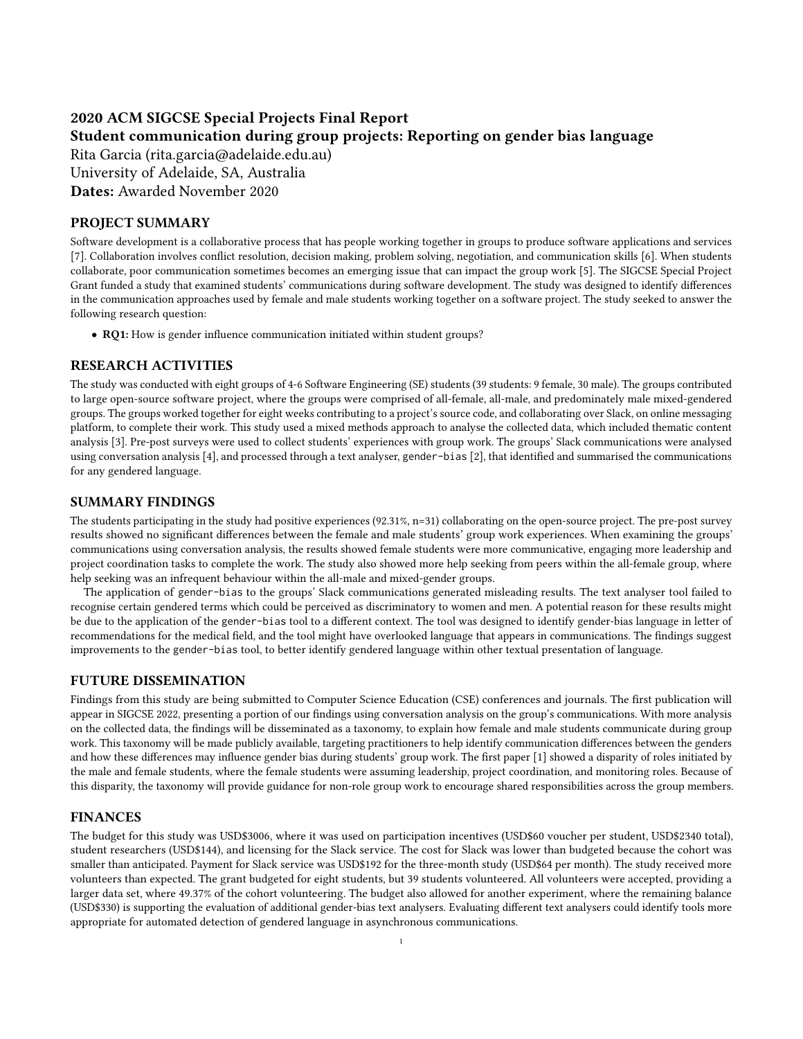# 2020 ACM SIGCSE Special Projects Final Report Student communication during group projects: Reporting on gender bias language

Rita Garcia (rita.garcia@adelaide.edu.au) University of Adelaide, SA, Australia Dates: Awarded November 2020

# PROJECT SUMMARY

Software development is a collaborative process that has people working together in groups to produce software applications and services [\[7\]](#page-1-0). Collaboration involves conflict resolution, decision making, problem solving, negotiation, and communication skills [\[6\]](#page-1-1). When students collaborate, poor communication sometimes becomes an emerging issue that can impact the group work [\[5\]](#page-1-2). The SIGCSE Special Project Grant funded a study that examined students' communications during software development. The study was designed to identify differences in the communication approaches used by female and male students working together on a software project. The study seeked to answer the following research question:

• RQ1: How is gender influence communication initiated within student groups?

# RESEARCH ACTIVITIES

The study was conducted with eight groups of 4-6 Software Engineering (SE) students (39 students: 9 female, 30 male). The groups contributed to large open-source software project, where the groups were comprised of all-female, all-male, and predominately male mixed-gendered groups. The groups worked together for eight weeks contributing to a project's source code, and collaborating over Slack, on online messaging platform, to complete their work. This study used a mixed methods approach to analyse the collected data, which included thematic content analysis [\[3\]](#page-1-3). Pre-post surveys were used to collect students' experiences with group work. The groups' Slack communications were analysed using conversation analysis [\[4\]](#page-1-4), and processed through a text analyser, gender-bias [\[2\]](#page-1-5), that identified and summarised the communications for any gendered language.

## SUMMARY FINDINGS

The students participating in the study had positive experiences (92.31%, n=31) collaborating on the open-source project. The pre-post survey results showed no significant differences between the female and male students' group work experiences. When examining the groups' communications using conversation analysis, the results showed female students were more communicative, engaging more leadership and project coordination tasks to complete the work. The study also showed more help seeking from peers within the all-female group, where help seeking was an infrequent behaviour within the all-male and mixed-gender groups.

The application of gender-bias to the groups' Slack communications generated misleading results. The text analyser tool failed to recognise certain gendered terms which could be perceived as discriminatory to women and men. A potential reason for these results might be due to the application of the gender-bias tool to a different context. The tool was designed to identify gender-bias language in letter of recommendations for the medical field, and the tool might have overlooked language that appears in communications. The findings suggest improvements to the gender-bias tool, to better identify gendered language within other textual presentation of language.

#### FUTURE DISSEMINATION

Findings from this study are being submitted to Computer Science Education (CSE) conferences and journals. The first publication will appear in SIGCSE 2022, presenting a portion of our findings using conversation analysis on the group's communications. With more analysis on the collected data, the findings will be disseminated as a taxonomy, to explain how female and male students communicate during group work. This taxonomy will be made publicly available, targeting practitioners to help identify communication differences between the genders and how these differences may influence gender bias during students' group work. The first paper [\[1\]](#page-1-6) showed a disparity of roles initiated by the male and female students, where the female students were assuming leadership, project coordination, and monitoring roles. Because of this disparity, the taxonomy will provide guidance for non-role group work to encourage shared responsibilities across the group members.

## FINANCES

The budget for this study was USD\$3006, where it was used on participation incentives (USD\$60 voucher per student, USD\$2340 total), student researchers (USD\$144), and licensing for the Slack service. The cost for Slack was lower than budgeted because the cohort was smaller than anticipated. Payment for Slack service was USD\$192 for the three-month study (USD\$64 per month). The study received more volunteers than expected. The grant budgeted for eight students, but 39 students volunteered. All volunteers were accepted, providing a larger data set, where 49.37% of the cohort volunteering. The budget also allowed for another experiment, where the remaining balance (USD\$330) is supporting the evaluation of additional gender-bias text analysers. Evaluating different text analysers could identify tools more appropriate for automated detection of gendered language in asynchronous communications.